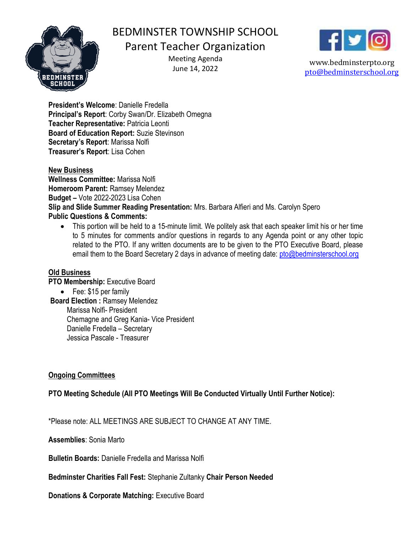

# BEDMINSTER TOWNSHIP SCHOOL

## Parent Teacher Organization

Meeting Agenda June 14, 2022



www.bedminsterpto.org pto@bedminsterschool.org

President's Welcome: Danielle Fredella Principal's Report: Corby Swan/Dr. Elizabeth Omegna Teacher Representative: Patricia Leonti Board of Education Report: Suzie Stevinson Secretary's Report: Marissa Nolfi Treasurer's Report: Lisa Cohen

#### New Business

Wellness Committee: Marissa Nolfi Homeroom Parent: Ramsey Melendez Budget – Vote 2022-2023 Lisa Cohen Slip and Slide Summer Reading Presentation: Mrs. Barbara Alfieri and Ms. Carolyn Spero Public Questions & Comments:

 This portion will be held to a 15-minute limit. We politely ask that each speaker limit his or her time to 5 minutes for comments and/or questions in regards to any Agenda point or any other topic related to the PTO. If any written documents are to be given to the PTO Executive Board, please email them to the Board Secretary 2 days in advance of meeting date: pto@bedminsterschool.org

#### Old Business

PTO Membership: Executive Board

• Fee: \$15 per family

Board Election : Ramsey Melendez Marissa Nolfi- President Chemagne and Greg Kania- Vice President Danielle Fredella – Secretary Jessica Pascale - Treasurer

### Ongoing Committees

PTO Meeting Schedule (All PTO Meetings Will Be Conducted Virtually Until Further Notice):

\*Please note: ALL MEETINGS ARE SUBJECT TO CHANGE AT ANY TIME.

Assemblies: Sonia Marto

Bulletin Boards: Danielle Fredella and Marissa Nolfi

Bedminster Charities Fall Fest: Stephanie Zultanky Chair Person Needed

Donations & Corporate Matching: Executive Board